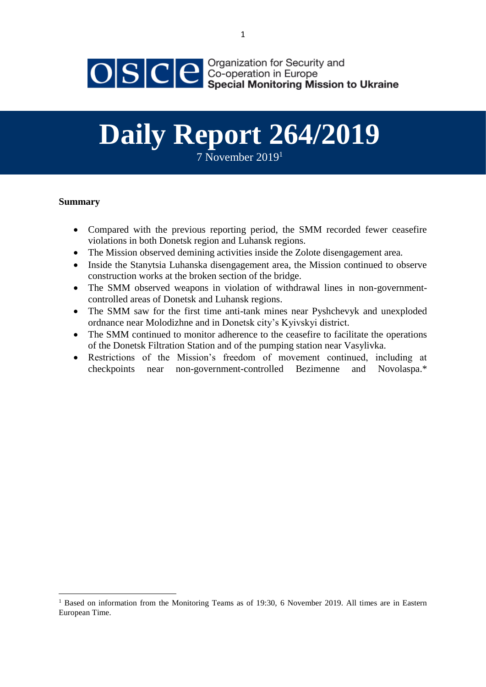

# **Daily Report 264/2019**

7 November 2019[1](#page-0-0)

## **Summary**

- <span id="page-0-0"></span> Compared with the previous reporting period, the SMM recorded fewer ceasefire violations in both Donetsk region and Luhansk regions.
- The Mission observed demining activities inside the Zolote disengagement area.
- Inside the Stanytsia Luhanska disengagement area, the Mission continued to observe construction works at the broken section of the bridge.
- The SMM observed weapons in violation of withdrawal lines in non-governmentcontrolled areas of Donetsk and Luhansk regions.
- The SMM saw for the first time anti-tank mines near Pyshchevyk and unexploded ordnance near Molodizhne and in Donetsk city's Kyivskyi district.
- The SMM continued to monitor adherence to the ceasefire to facilitate the operations of the Donetsk Filtration Station and of the pumping station near Vasylivka.
- Restrictions of the Mission's freedom of movement continued, including at checkpoints near non-government-controlled Bezimenne and Novolaspa.\*

<sup>&</sup>lt;sup>1</sup> Based on information from the Monitoring Teams as of 19:30, 6 November 2019. All times are in Eastern European Time.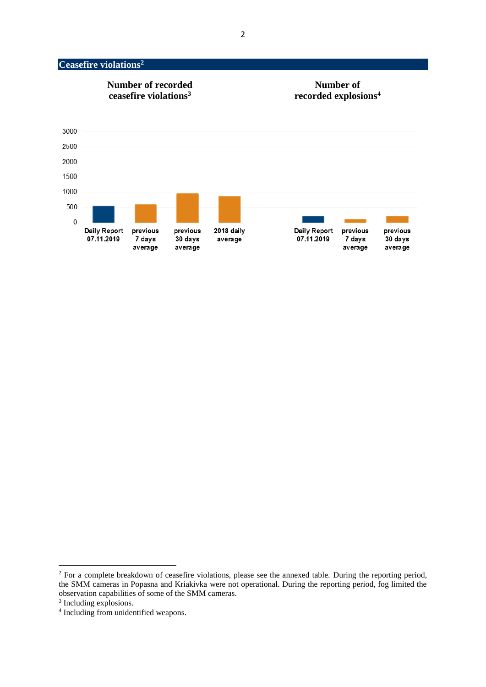# <span id="page-1-0"></span>**Ceasefire violations<sup>2</sup>**



<sup>&</sup>lt;sup>2</sup> For a complete breakdown of ceasefire violations, please see the annexed table. During the reporting period, the SMM cameras in Popasna and Kriakivka were not operational. During the reporting period, fog limited the observation capabilities of some of the SMM cameras.

<sup>&</sup>lt;sup>3</sup> Including explosions.

<sup>4</sup> Including from unidentified weapons.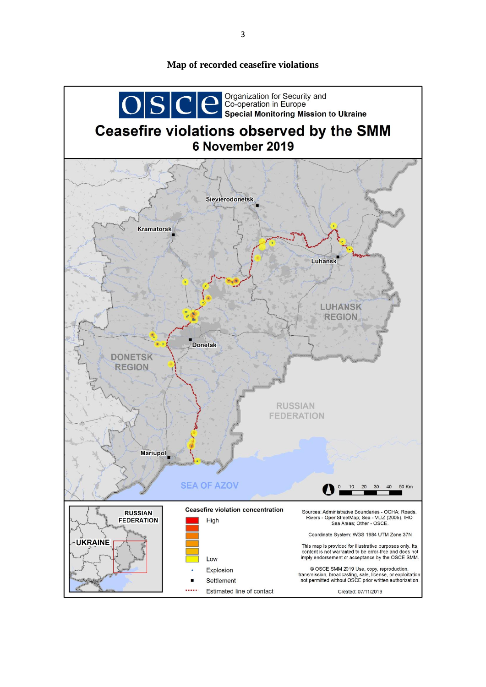# OSCE Special Monitoring Mission to Ukraine Ceasefire violations observed by the SMM 6 November 2019 **Sievierodonetsk Kramatorsk** Luhansk LUHANSK **REGION Donetsk DONETSK REGION RUSSIAN FEDERATION** Mariupol **SEA OF AZOV**  $10$ 20  $30$ 40 50 Km **Ceasefire violation concentration RUSSIAN** Sources: Administrative Boundaries - OCHA; Roads Rivers - OpenStreetMap; Sea - VLIZ (2005). IHO<br>Rivers - OpenStreetMap; Sea - VLIZ (2005). IHO<br>Sea Areas; Other - OSCE. **FEDERATION** High Coordinate System: WGS 1984 UTM Zone 37N **UKRAINE** This map is provided for illustrative purposes only. Its<br>content is not warranted to be error-free and does not imply endorsement or acceptance by the OSCE SMM Low © OSCE SMM 2019 Use, copy, reproduction,<br>transmission, broadcasting, sale, license, or exploitation<br>not permitted without OSCE prior written authorization. Explosion Settlement  $\blacksquare$ ..... Estimated line of contact Created: 07/11/2019

**Map of recorded ceasefire violations**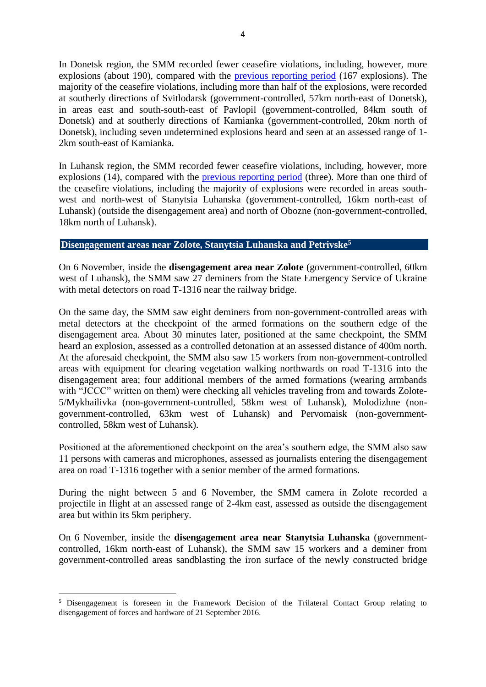In Donetsk region, the SMM recorded fewer ceasefire violations, including, however, more explosions (about 190), compared with the [previous reporting period](https://www.osce.org/special-monitoring-mission-to-ukraine/438233?download=true) (167 explosions). The majority of the ceasefire violations, including more than half of the explosions, were recorded at southerly directions of Svitlodarsk (government-controlled, 57km north-east of Donetsk), in areas east and south-south-east of Pavlopil (government-controlled, 84km south of Donetsk) and at southerly directions of Kamianka (government-controlled, 20km north of Donetsk), including seven undetermined explosions heard and seen at an assessed range of 1- 2km south-east of Kamianka.

In Luhansk region, the SMM recorded fewer ceasefire violations, including, however, more explosions (14), compared with the [previous reporting period](https://www.osce.org/special-monitoring-mission-to-ukraine/438233?download=true) (three). More than one third of the ceasefire violations, including the majority of explosions were recorded in areas southwest and north-west of Stanytsia Luhanska (government-controlled, 16km north-east of Luhansk) (outside the disengagement area) and north of Obozne (non-government-controlled, 18km north of Luhansk).

#### **Disengagement areas near Zolote, Stanytsia Luhanska and Petrivske<sup>5</sup>**

On 6 November, inside the **disengagement area near Zolote** (government-controlled, 60km west of Luhansk), the SMM saw 27 deminers from the State Emergency Service of Ukraine with metal detectors on road T-1316 near the railway bridge.

On the same day, the SMM saw eight deminers from non-government-controlled areas with metal detectors at the checkpoint of the armed formations on the southern edge of the disengagement area. About 30 minutes later, positioned at the same checkpoint, the SMM heard an explosion, assessed as a controlled detonation at an assessed distance of 400m north. At the aforesaid checkpoint, the SMM also saw 15 workers from non-government-controlled areas with equipment for clearing vegetation walking northwards on road T-1316 into the disengagement area; four additional members of the armed formations (wearing armbands with "JCCC" written on them) were checking all vehicles traveling from and towards Zolote-5/Mykhailivka (non-government-controlled, 58km west of Luhansk), Molodizhne (nongovernment-controlled, 63km west of Luhansk) and Pervomaisk (non-governmentcontrolled, 58km west of Luhansk).

Positioned at the aforementioned checkpoint on the area's southern edge, the SMM also saw 11 persons with cameras and microphones, assessed as journalists entering the disengagement area on road T-1316 together with a senior member of the armed formations.

During the night between 5 and 6 November, the SMM camera in Zolote recorded a projectile in flight at an assessed range of 2-4km east, assessed as outside the disengagement area but within its 5km periphery.

On 6 November, inside the **disengagement area near Stanytsia Luhanska** (governmentcontrolled, 16km north-east of Luhansk), the SMM saw 15 workers and a deminer from government-controlled areas sandblasting the iron surface of the newly constructed bridge

<sup>5</sup> Disengagement is foreseen in the Framework Decision of the Trilateral Contact Group relating to disengagement of forces and hardware of 21 September 2016.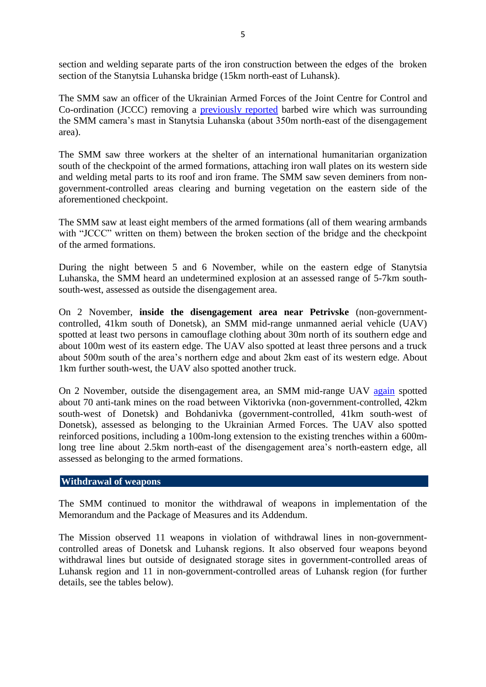section and welding separate parts of the iron construction between the edges of the broken section of the Stanytsia Luhanska bridge (15km north-east of Luhansk).

The SMM saw an officer of the Ukrainian Armed Forces of the Joint Centre for Control and Co-ordination (JCCC) removing a [previously reported](https://www.osce.org/special-monitoring-mission-to-ukraine/437894?download=true) barbed wire which was surrounding the SMM camera's mast in Stanytsia Luhanska (about 350m north-east of the disengagement area).

The SMM saw three workers at the shelter of an international humanitarian organization south of the checkpoint of the armed formations, attaching iron wall plates on its western side and welding metal parts to its roof and iron frame. The SMM saw seven deminers from nongovernment-controlled areas clearing and burning vegetation on the eastern side of the aforementioned checkpoint.

The SMM saw at least eight members of the armed formations (all of them wearing armbands with "JCCC" written on them) between the broken section of the bridge and the checkpoint of the armed formations.

During the night between 5 and 6 November, while on the eastern edge of Stanytsia Luhanska, the SMM heard an undetermined explosion at an assessed range of 5-7km southsouth-west, assessed as outside the disengagement area.

On 2 November, **inside the disengagement area near Petrivske** (non-governmentcontrolled, 41km south of Donetsk), an SMM mid-range unmanned aerial vehicle (UAV) spotted at least two persons in camouflage clothing about 30m north of its southern edge and about 100m west of its eastern edge. The UAV also spotted at least three persons and a truck about 500m south of the area's northern edge and about 2km east of its western edge. About 1km further south-west, the UAV also spotted another truck.

On 2 November, outside the disengagement area, an SMM mid-range UAV [again](https://www.osce.org/special-monitoring-mission-to-ukraine/436418) spotted about 70 anti-tank mines on the road between Viktorivka (non-government-controlled, 42km south-west of Donetsk) and Bohdanivka (government-controlled, 41km south-west of Donetsk), assessed as belonging to the Ukrainian Armed Forces. The UAV also spotted reinforced positions, including a 100m-long extension to the existing trenches within a 600mlong tree line about 2.5km north-east of the disengagement area's north-eastern edge, all assessed as belonging to the armed formations.

### **Withdrawal of weapons**

The SMM continued to monitor the withdrawal of weapons in implementation of the Memorandum and the Package of Measures and its Addendum.

The Mission observed 11 weapons in violation of withdrawal lines in non-governmentcontrolled areas of Donetsk and Luhansk regions. It also observed four weapons beyond withdrawal lines but outside of designated storage sites in government-controlled areas of Luhansk region and 11 in non-government-controlled areas of Luhansk region (for further details, see the tables below).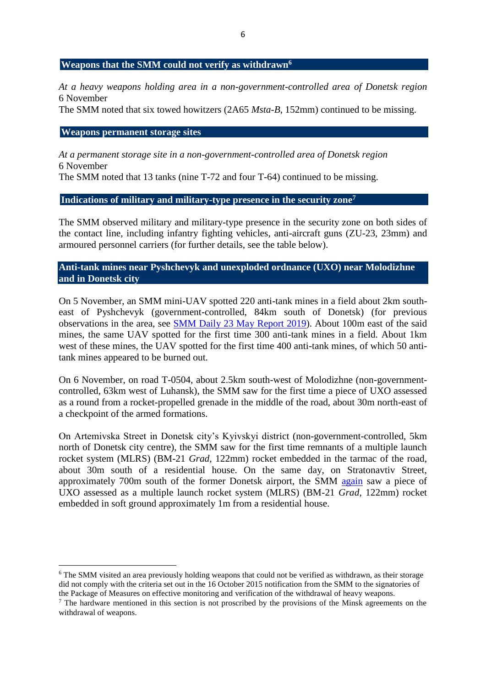#### **Weapons that the SMM could not verify as withdrawn<sup>6</sup>**

*At a heavy weapons holding area in a non-government-controlled area of Donetsk region* 6 November

The SMM noted that six towed howitzers (2A65 *Msta-B*, 152mm) continued to be missing.

#### **Weapons permanent storage sites**

1

*At a permanent storage site in a non-government-controlled area of Donetsk region* 6 November

The SMM noted that 13 tanks (nine T-72 and four T-64) continued to be missing.

#### **Indications of military and military-type presence in the security zone<sup>7</sup>**

The SMM observed military and military-type presence in the security zone on both sides of the contact line, including infantry fighting vehicles, anti-aircraft guns (ZU-23, 23mm) and armoured personnel carriers (for further details, see the table below).

## **Anti-tank mines near Pyshchevyk and unexploded ordnance (UXO) near Molodizhne and in Donetsk city**

On 5 November, an SMM mini-UAV spotted 220 anti-tank mines in a field about 2km southeast of Pyshchevyk (government-controlled, 84km south of Donetsk) (for previous observations in the area, see [SMM Daily 23 May](https://www.osce.org/special-monitoring-mission-to-ukraine/420677) Report 2019). About 100m east of the said mines, the same UAV spotted for the first time 300 anti-tank mines in a field. About 1km west of these mines, the UAV spotted for the first time 400 anti-tank mines, of which 50 antitank mines appeared to be burned out.

On 6 November, on road T-0504, about 2.5km south-west of Molodizhne (non-governmentcontrolled, 63km west of Luhansk), the SMM saw for the first time a piece of UXO assessed as a round from a rocket-propelled grenade in the middle of the road, about 30m north-east of a checkpoint of the armed formations.

On Artemivska Street in Donetsk city's Kyivskyi district (non-government-controlled, 5km north of Donetsk city centre), the SMM saw for the first time remnants of a multiple launch rocket system (MLRS) (BM-21 *Grad*, 122mm) rocket embedded in the tarmac of the road, about 30m south of a residential house. On the same day, on Stratonavtiv Street, approximately 700m south of the former Donetsk airport, the SMM [again](https://www.osce.org/special-monitoring-mission-to-ukraine/416177) saw a piece of UXO assessed as a multiple launch rocket system (MLRS) (BM-21 *Grad*, 122mm) rocket embedded in soft ground approximately 1m from a residential house.

<sup>6</sup> The SMM visited an area previously holding weapons that could not be verified as withdrawn, as their storage did not comply with the criteria set out in the 16 October 2015 notification from the SMM to the signatories of the Package of Measures on effective monitoring and verification of the withdrawal of heavy weapons.

<sup>&</sup>lt;sup>7</sup> The hardware mentioned in this section is not proscribed by the provisions of the Minsk agreements on the withdrawal of weapons.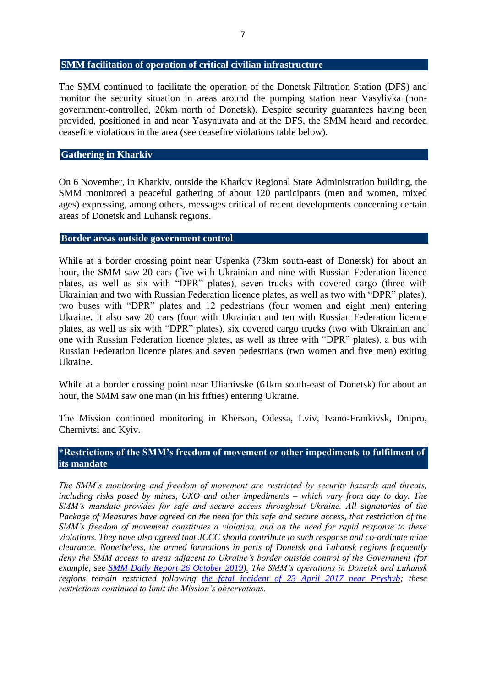#### **SMM facilitation of operation of critical civilian infrastructure**

The SMM continued to facilitate the operation of the Donetsk Filtration Station (DFS) and monitor the security situation in areas around the pumping station near Vasylivka (nongovernment-controlled, 20km north of Donetsk). Despite security guarantees having been provided, positioned in and near Yasynuvata and at the DFS, the SMM heard and recorded ceasefire violations in the area (see ceasefire violations table below).

#### **Gathering in Kharkiv**

On 6 November, in Kharkiv, outside the Kharkiv Regional State Administration building, the SMM monitored a peaceful gathering of about 120 participants (men and women, mixed ages) expressing, among others, messages critical of recent developments concerning certain areas of Donetsk and Luhansk regions.

### **Border areas outside government control**

While at a border crossing point near Uspenka (73km south-east of Donetsk) for about an hour, the SMM saw 20 cars (five with Ukrainian and nine with Russian Federation licence plates, as well as six with "DPR" plates), seven trucks with covered cargo (three with Ukrainian and two with Russian Federation licence plates, as well as two with "DPR" plates), two buses with "DPR" plates and 12 pedestrians (four women and eight men) entering Ukraine. It also saw 20 cars (four with Ukrainian and ten with Russian Federation licence plates, as well as six with "DPR" plates), six covered cargo trucks (two with Ukrainian and one with Russian Federation licence plates, as well as three with "DPR" plates), a bus with Russian Federation licence plates and seven pedestrians (two women and five men) exiting Ukraine.

While at a border crossing point near Ulianivske (61km south-east of Donetsk) for about an hour, the SMM saw one man (in his fifties) entering Ukraine.

The Mission continued monitoring in Kherson, Odessa, Lviv, Ivano-Frankivsk, Dnipro, Chernivtsi and Kyiv.

## **\*Restrictions of the SMM's freedom of movement or other impediments to fulfilment of its mandate**

*The SMM's monitoring and freedom of movement are restricted by security hazards and threats, including risks posed by mines, UXO and other impediments – which vary from day to day. The SMM's mandate provides for safe and secure access throughout Ukraine. All signatories of the Package of Measures have agreed on the need for this safe and secure access, that restriction of the SMM's freedom of movement constitutes a violation, and on the need for rapid response to these violations. They have also agreed that JCCC should contribute to such response and co-ordinate mine clearance. Nonetheless, the armed formations in parts of Donetsk and Luhansk regions frequently deny the SMM access to areas adjacent to Ukraine's border outside control of the Government (for example,* see *[SMM Daily Report 26 October 2019\)](https://www.osce.org/special-monitoring-mission-to-ukraine/437156). The SMM's operations in Donetsk and Luhansk regions remain restricted following [the fatal incident of 23 April 2017 near Pryshyb;](https://www.osce.org/special-monitoring-mission-to-ukraine/312971) these restrictions continued to limit the Mission's observations.*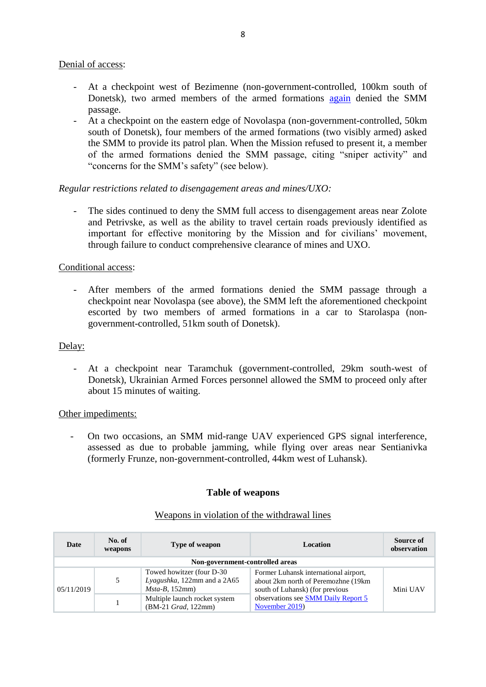#### Denial of access:

- At a checkpoint west of Bezimenne (non-government-controlled, 100km south of Donetsk), two armed members of the armed formations [again](https://www.osce.org/special-monitoring-mission-to-ukraine/437753?download=true) denied the SMM passage.
- At a checkpoint on the eastern edge of Novolaspa (non-government-controlled, 50km south of Donetsk), four members of the armed formations (two visibly armed) asked the SMM to provide its patrol plan. When the Mission refused to present it, a member of the armed formations denied the SMM passage, citing "sniper activity" and "concerns for the SMM's safety" (see below).

#### *Regular restrictions related to disengagement areas and mines/UXO:*

The sides continued to deny the SMM full access to disengagement areas near Zolote and Petrivske, as well as the ability to travel certain roads previously identified as important for effective monitoring by the Mission and for civilians' movement, through failure to conduct comprehensive clearance of mines and UXO.

#### Conditional access:

- After members of the armed formations denied the SMM passage through a checkpoint near Novolaspa (see above), the SMM left the aforementioned checkpoint escorted by two members of armed formations in a car to Starolaspa (nongovernment-controlled, 51km south of Donetsk).

#### Delay:

- At a checkpoint near Taramchuk (government-controlled, 29km south-west of Donetsk), Ukrainian Armed Forces personnel allowed the SMM to proceed only after about 15 minutes of waiting.

#### Other impediments:

- On two occasions, an SMM mid-range UAV experienced GPS signal interference, assessed as due to probable jamming, while flying over areas near Sentianivka (formerly Frunze, non-government-controlled, 44km west of Luhansk).

#### **Table of weapons**

| Date                            | No. of<br>weapons                                    | Type of weapon                                                                 | <b>Location</b>                                                                                                  | Source of<br>observation |  |  |  |  |
|---------------------------------|------------------------------------------------------|--------------------------------------------------------------------------------|------------------------------------------------------------------------------------------------------------------|--------------------------|--|--|--|--|
| Non-government-controlled areas |                                                      |                                                                                |                                                                                                                  |                          |  |  |  |  |
| 05/11/2019                      | 5                                                    | Towed howitzer (four D-30)<br>Lyagushka, 122mm and a 2A65<br>$Msta-B$ , 152mm) | Former Luhansk international airport,<br>about 2km north of Peremozhne (19km)<br>south of Luhansk) (for previous | Mini UAV                 |  |  |  |  |
|                                 | Multiple launch rocket system<br>(BM-21 Grad, 122mm) | observations see SMM Daily Report 5<br>November 2019)                          |                                                                                                                  |                          |  |  |  |  |

#### Weapons in violation of the withdrawal lines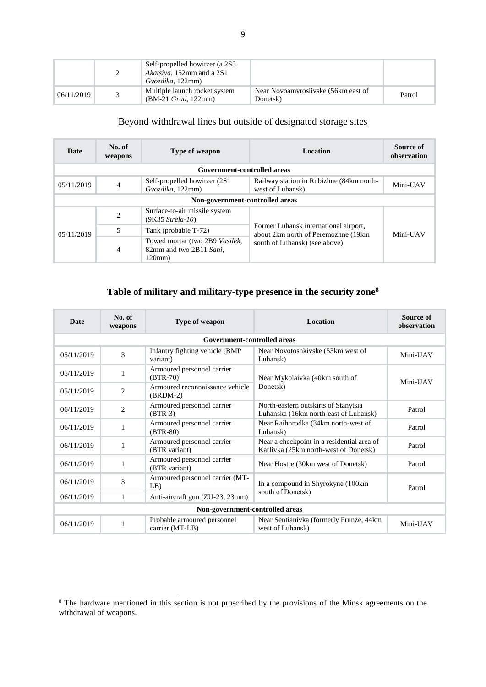|            | Self-propelled howitzer (a 2S3<br><i>Akatsiya</i> , 152mm and a 2S1<br>Gyozdika, 122mm) |                                                 |        |
|------------|-----------------------------------------------------------------------------------------|-------------------------------------------------|--------|
| 06/11/2019 | Multiple launch rocket system<br>$(BM-21 \text{ Grad}, 122mm)$                          | Near Novoamyrosiivske (56km east of<br>Donetsk) | Patrol |

# Beyond withdrawal lines but outside of designated storage sites

| Date                            | No. of<br>weapons | <b>Type of weapon</b>                                              | Location                                                                     | Source of<br>observation |  |  |  |  |  |
|---------------------------------|-------------------|--------------------------------------------------------------------|------------------------------------------------------------------------------|--------------------------|--|--|--|--|--|
| Government-controlled areas     |                   |                                                                    |                                                                              |                          |  |  |  |  |  |
| 05/11/2019                      | $\overline{4}$    | Self-propelled howitzer (2S1)<br>Gvozdika, 122mm)                  | Railway station in Rubizhne (84km north-<br>west of Luhansk)                 | Mini-UAV                 |  |  |  |  |  |
| Non-government-controlled areas |                   |                                                                    |                                                                              |                          |  |  |  |  |  |
| 05/11/2019                      | $\overline{2}$    | Surface-to-air missile system<br>$(9K35 \, Strela-10)$             |                                                                              |                          |  |  |  |  |  |
|                                 | 5                 | Tank (probable T-72)                                               | Former Luhansk international airport,<br>about 2km north of Peremozhne (19km | Mini-UAV                 |  |  |  |  |  |
|                                 | 4                 | Towed mortar (two 2B9 Vasilek,<br>82mm and two 2B11 Sani,<br>120mm | south of Luhansk) (see above)                                                |                          |  |  |  |  |  |

# **Table of military and military-type presence in the security zone<sup>8</sup>**

| <b>Date</b>                                                       | No. of<br>weapons               | Type of weapon                                | <b>Location</b>                                                                     | Source of<br>observation |  |  |  |  |  |
|-------------------------------------------------------------------|---------------------------------|-----------------------------------------------|-------------------------------------------------------------------------------------|--------------------------|--|--|--|--|--|
| <b>Government-controlled areas</b>                                |                                 |                                               |                                                                                     |                          |  |  |  |  |  |
| Infantry fighting vehicle (BMP)<br>3<br>05/11/2019<br>variant)    |                                 |                                               | Near Novotoshkivske (53km west of<br>Luhansk)                                       | Mini-UAV                 |  |  |  |  |  |
| 05/11/2019                                                        | 1                               | Armoured personnel carrier<br>$(BTR-70)$      | Near Mykolaivka (40km south of                                                      | Mini-UAV                 |  |  |  |  |  |
| 05/11/2019                                                        | $\overline{c}$                  | Armoured reconnaissance vehicle<br>$(BRDM-2)$ | Donetsk)                                                                            |                          |  |  |  |  |  |
| 06/11/2019                                                        | 2                               | Armoured personnel carrier<br>$(BTR-3)$       | North-eastern outskirts of Stanytsia<br>Luhanska (16km north-east of Luhansk)       | Patrol                   |  |  |  |  |  |
| 06/11/2019                                                        | 1                               | Armoured personnel carrier<br>$(BTR-80)$      | Near Raihorodka (34km north-west of<br>Luhansk)                                     | Patrol                   |  |  |  |  |  |
| 06/11/2019                                                        | 1                               | Armoured personnel carrier<br>(BTR variant)   | Near a checkpoint in a residential area of<br>Karlivka (25km north-west of Donetsk) | Patrol                   |  |  |  |  |  |
| 06/11/2019                                                        | 1                               | Armoured personnel carrier<br>(BTR variant)   | Near Hostre (30km west of Donetsk)                                                  | Patrol                   |  |  |  |  |  |
| 06/11/2019                                                        | 3                               | Armoured personnel carrier (MT-<br>LB)        | In a compound in Shyrokyne (100km)                                                  | Patrol                   |  |  |  |  |  |
| 06/11/2019                                                        | 1                               | Anti-aircraft gun (ZU-23, 23mm)               | south of Donetsk)                                                                   |                          |  |  |  |  |  |
|                                                                   | Non-government-controlled areas |                                               |                                                                                     |                          |  |  |  |  |  |
| Probable armoured personnel<br>1<br>06/11/2019<br>carrier (MT-LB) |                                 |                                               | Near Sentianivka (formerly Frunze, 44km)<br>west of Luhansk)                        | Mini-UAV                 |  |  |  |  |  |

<sup>&</sup>lt;sup>8</sup> The hardware mentioned in this section is not proscribed by the provisions of the Minsk agreements on the withdrawal of weapons.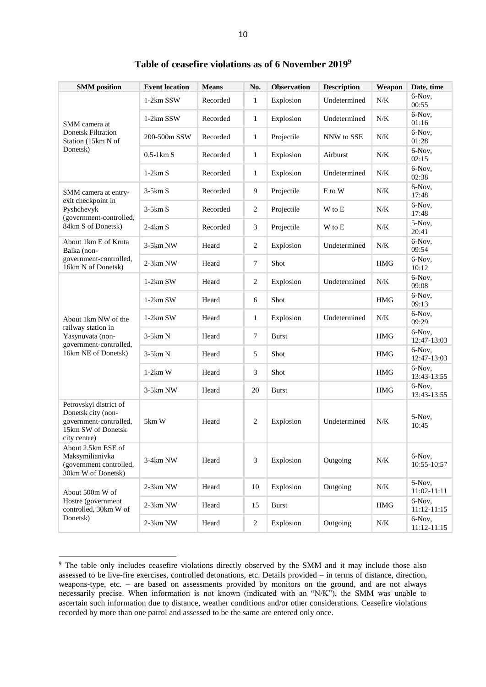| <b>SMM</b> position                                                                                          | <b>Event location</b> | <b>Means</b> | No.            | <b>Observation</b> | <b>Description</b> | Weapon     | Date, time              |
|--------------------------------------------------------------------------------------------------------------|-----------------------|--------------|----------------|--------------------|--------------------|------------|-------------------------|
| SMM camera at                                                                                                | 1-2km SSW             | Recorded     | $\mathbf{1}$   | Explosion          | Undetermined       | N/K        | 6-Nov,<br>00:55         |
|                                                                                                              | 1-2km SSW             | Recorded     | 1              | Explosion          | Undetermined       | N/K        | 6-Nov,<br>01:16         |
| <b>Donetsk Filtration</b><br>Station (15km N of                                                              | 200-500m SSW          | Recorded     | 1              | Projectile         | NNW to SSE         | N/K        | 6-Nov,<br>01:28         |
| Donetsk)                                                                                                     | $0.5-1km S$           | Recorded     | 1              | Explosion          | Airburst           | N/K        | 6-Nov,<br>02:15         |
|                                                                                                              | $1-2km S$             | Recorded     | 1              | Explosion          | Undetermined       | N/K        | 6-Nov,<br>02:38         |
| SMM camera at entry-                                                                                         | $3-5km S$             | Recorded     | 9              | Projectile         | E to W             | $N/K$      | 6-Nov,<br>17:48         |
| exit checkpoint in<br>Pyshchevyk<br>(government-controlled,                                                  | $3-5km S$             | Recorded     | 2              | Projectile         | W to E             | N/K        | 6-Nov,<br>17:48         |
| 84km S of Donetsk)                                                                                           | $2-4km S$             | Recorded     | 3              | Projectile         | W to E             | N/K        | 5-Nov,<br>20:41         |
| About 1km E of Kruta<br>Balka (non-                                                                          | 3-5km NW              | Heard        | $\overline{2}$ | Explosion          | Undetermined       | N/K        | 6-Nov,<br>09:54         |
| government-controlled,<br>16km N of Donetsk)                                                                 | 2-3km NW              | Heard        | $\tau$         | Shot               |                    | <b>HMG</b> | 6-Nov,<br>10:12         |
|                                                                                                              | $1-2km$ SW            | Heard        | $\mathbf{2}$   | Explosion          | Undetermined       | N/K        | 6-Nov,<br>09:08         |
|                                                                                                              | $1-2km$ SW            | Heard        | 6              | Shot               |                    | <b>HMG</b> | 6-Nov,<br>09:13         |
| About 1km NW of the                                                                                          | $1-2km$ SW            | Heard        | 1              | Explosion          | Undetermined       | N/K        | 6-Nov,<br>09:29         |
| railway station in<br>Yasynuvata (non-<br>government-controlled,                                             | $3-5km N$             | Heard        | $\tau$         | <b>Burst</b>       |                    | <b>HMG</b> | 6-Nov,<br>12:47-13:03   |
| 16km NE of Donetsk)                                                                                          | $3-5km N$             | Heard        | 5              | Shot               |                    | <b>HMG</b> | 6-Nov,<br>12:47-13:03   |
|                                                                                                              | $1-2km$ W             | Heard        | 3              | Shot               |                    | <b>HMG</b> | 6-Nov,<br>13:43-13:55   |
|                                                                                                              | 3-5km NW              | Heard        | 20             | Burst              |                    | <b>HMG</b> | 6-Nov,<br>13:43-13:55   |
| Petrovskyi district of<br>Donetsk city (non-<br>government-controlled,<br>15km SW of Donetsk<br>city centre) | 5km W                 | Heard        | $\overline{c}$ | Explosion          | Undetermined       | N/K        | 6-Nov,<br>10:45         |
| About 2.5km ESE of<br>Maksymilianivka<br>(government controlled,<br>30km W of Donetsk)                       | 3-4km NW              | Heard        | 3              | Explosion          | Outgoing           | $N\!/\!K$  | 6-Nov,<br>10:55-10:57   |
| About 500m W of                                                                                              | 2-3km NW              | Heard        | 10             | Explosion          | Outgoing           | N/K        | 6-Nov,<br>11:02-11:11   |
| Hostre (government<br>controlled, 30km W of                                                                  | 2-3km NW              | Heard        | 15             | <b>Burst</b>       |                    | <b>HMG</b> | 6-Nov,<br>11:12-11:15   |
| Donetsk)                                                                                                     | 2-3km NW              | Heard        | 2              | Explosion          | Outgoing           | $N\!/\!K$  | 6-Nov,<br>$11:12-11:15$ |

**Table of ceasefire violations as of 6 November 2019**<sup>9</sup>

<sup>9</sup> The table only includes ceasefire violations directly observed by the SMM and it may include those also assessed to be live-fire exercises, controlled detonations, etc. Details provided – in terms of distance, direction, weapons-type, etc. – are based on assessments provided by monitors on the ground, and are not always necessarily precise. When information is not known (indicated with an "N/K"), the SMM was unable to ascertain such information due to distance, weather conditions and/or other considerations. Ceasefire violations recorded by more than one patrol and assessed to be the same are entered only once.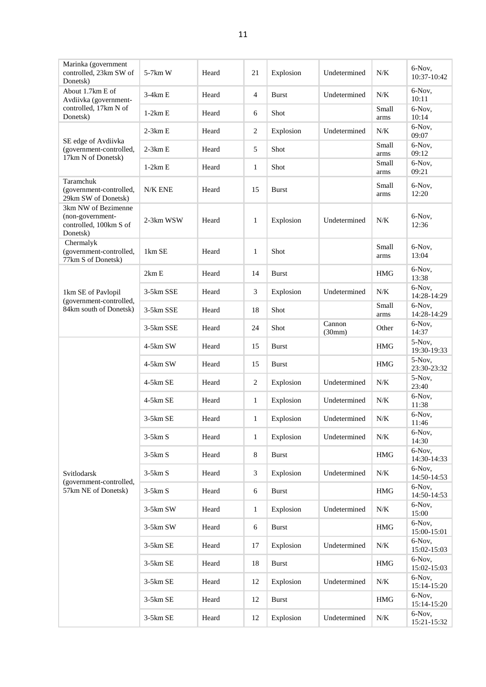| Marinka (government<br>controlled, 23km SW of<br>Donetsk)                     | 5-7km W    | Heard | 21               | Explosion    | Undetermined     | $N/K$         | 6-Nov,<br>10:37-10:42 |
|-------------------------------------------------------------------------------|------------|-------|------------------|--------------|------------------|---------------|-----------------------|
| About 1.7km E of<br>Avdiivka (government-                                     | $3-4km E$  | Heard | $\overline{4}$   | <b>Burst</b> | Undetermined     | $N/K$         | 6-Nov,<br>10:11       |
| controlled, 17km N of<br>Donetsk)                                             | $1-2km E$  | Heard | 6                | Shot         |                  | Small<br>arms | 6-Nov,<br>10:14       |
|                                                                               | $2-3km E$  | Heard | $\overline{c}$   | Explosion    | Undetermined     | N/K           | 6-Nov,<br>09:07       |
| SE edge of Avdiivka<br>(government-controlled,<br>17km N of Donetsk)          | $2-3km E$  | Heard | 5                | Shot         |                  | Small<br>arms | 6-Nov,<br>09:12       |
|                                                                               | $1-2km E$  | Heard | $\mathbf{1}$     | Shot         |                  | Small<br>arms | 6-Nov,<br>09:21       |
| Taramchuk<br>(government-controlled,<br>29km SW of Donetsk)                   | N/K ENE    | Heard | 15               | <b>Burst</b> |                  | Small<br>arms | 6-Nov,<br>12:20       |
| 3km NW of Bezimenne<br>(non-government-<br>controlled, 100km S of<br>Donetsk) | 2-3km WSW  | Heard | $\mathbf{1}$     | Explosion    | Undetermined     | N/K           | 6-Nov,<br>12:36       |
| Chermalyk<br>(government-controlled,<br>77km S of Donetsk)                    | 1km SE     | Heard | $\mathbf{1}$     | Shot         |                  | Small<br>arms | 6-Nov,<br>13:04       |
|                                                                               | 2km E      | Heard | 14               | <b>Burst</b> |                  | <b>HMG</b>    | 6-Nov,<br>13:38       |
| 1km SE of Pavlopil                                                            | 3-5km SSE  | Heard | 3                | Explosion    | Undetermined     | N/K           | 6-Nov,<br>14:28-14:29 |
| (government-controlled,<br>84km south of Donetsk)                             | 3-5km SSE  | Heard | 18               | Shot         |                  | Small<br>arms | 6-Nov,<br>14:28-14:29 |
|                                                                               | 3-5km SSE  | Heard | 24               | Shot         | Cannon<br>(30mm) | Other         | 6-Nov,<br>14:37       |
|                                                                               | 4-5km SW   | Heard | 15               | <b>Burst</b> |                  | <b>HMG</b>    | 5-Nov,<br>19:30-19:33 |
|                                                                               | 4-5km SW   | Heard | 15               | <b>Burst</b> |                  | <b>HMG</b>    | 5-Nov,<br>23:30-23:32 |
|                                                                               | 4-5km SE   | Heard | $\overline{c}$   | Explosion    | Undetermined     | N/K           | 5-Nov,<br>23:40       |
|                                                                               | 4-5km SE   | Heard | $\mathbf{1}$     | Explosion    | Undetermined     | $N/K$         | 6-Nov,<br>11:38       |
|                                                                               | $3-5km$ SE | Heard | $\mathbf{1}$     | Explosion    | Undetermined     | N/K           | 6-Nov,<br>11:46       |
|                                                                               | $3-5km S$  | Heard | 1                | Explosion    | Undetermined     | N/K           | 6-Nov,<br>14:30       |
|                                                                               | $3-5km S$  | Heard | 8                | <b>Burst</b> |                  | <b>HMG</b>    | 6-Nov,<br>14:30-14:33 |
| Svitlodarsk<br>(government-controlled,                                        | $3-5km S$  | Heard | 3                | Explosion    | Undetermined     | $N\!/\!K$     | 6-Nov,<br>14:50-14:53 |
| 57km NE of Donetsk)                                                           | $3-5km S$  | Heard | 6                | <b>Burst</b> |                  | <b>HMG</b>    | 6-Nov,<br>14:50-14:53 |
|                                                                               | 3-5km SW   | Heard | $\mathbf{1}$     | Explosion    | Undetermined     | $N\!/\!K$     | 6-Nov,<br>15:00       |
|                                                                               | $3-5km$ SW | Heard | $\boldsymbol{6}$ | <b>Burst</b> |                  | <b>HMG</b>    | 6-Nov,<br>15:00-15:01 |
|                                                                               | 3-5km SE   | Heard | 17               | Explosion    | Undetermined     | N/K           | 6-Nov,<br>15:02-15:03 |
|                                                                               | 3-5km SE   | Heard | 18               | <b>Burst</b> |                  | $\rm{HMG}$    | 6-Nov,<br>15:02-15:03 |
|                                                                               | 3-5km SE   | Heard | 12               | Explosion    | Undetermined     | $N\!/\!K$     | 6-Nov,<br>15:14-15:20 |
|                                                                               | 3-5km SE   | Heard | 12               | <b>Burst</b> |                  | $\rm{HMG}$    | 6-Nov,<br>15:14-15:20 |
|                                                                               | 3-5km SE   | Heard | 12               | Explosion    | Undetermined     | $N\!/\!K$     | 6-Nov,<br>15:21-15:32 |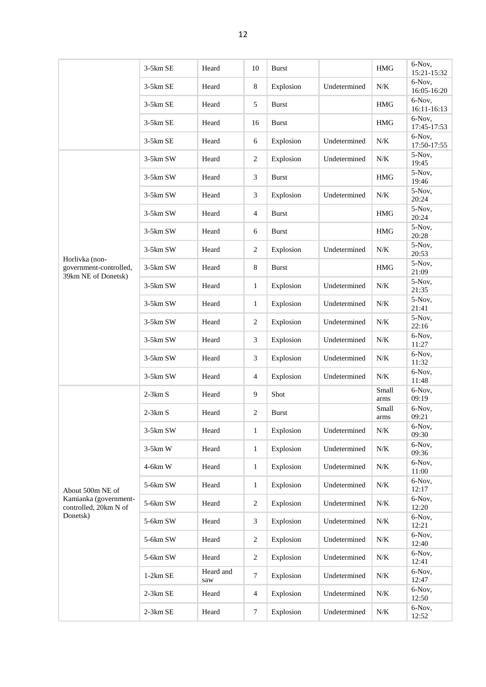|                                                                 | 3-5km SE   | Heard            | 10             | <b>Burst</b> |              | <b>HMG</b>    | 6-Nov,<br>15:21-15:32 |
|-----------------------------------------------------------------|------------|------------------|----------------|--------------|--------------|---------------|-----------------------|
|                                                                 | 3-5km SE   | Heard            | 8              | Explosion    | Undetermined | N/K           | 6-Nov,<br>16:05-16:20 |
|                                                                 | 3-5km SE   | Heard            | 5              | <b>Burst</b> |              | <b>HMG</b>    | 6-Nov,<br>16:11-16:13 |
|                                                                 | 3-5km SE   | Heard            | 16             | <b>Burst</b> |              | <b>HMG</b>    | 6-Nov,<br>17:45-17:53 |
|                                                                 | $3-5km$ SE | Heard            | 6              | Explosion    | Undetermined | $N\!/\!K$     | 6-Nov,<br>17:50-17:55 |
|                                                                 | 3-5km SW   | Heard            | 2              | Explosion    | Undetermined | N/K           | 5-Nov,<br>19:45       |
|                                                                 | $3-5km$ SW | Heard            | 3              | <b>Burst</b> |              | <b>HMG</b>    | 5-Nov,<br>19:46       |
|                                                                 | $3-5km$ SW | Heard            | 3              | Explosion    | Undetermined | N/K           | 5-Nov,<br>20:24       |
|                                                                 | 3-5km SW   | Heard            | $\overline{4}$ | <b>Burst</b> |              | <b>HMG</b>    | 5-Nov,<br>20:24       |
|                                                                 | 3-5km SW   | Heard            | 6              | <b>Burst</b> |              | <b>HMG</b>    | 5-Nov,<br>20:28       |
|                                                                 | $3-5km$ SW | Heard            | 2              | Explosion    | Undetermined | $N\!/\!K$     | 5-Nov,<br>20:53       |
| Horlivka (non-<br>government-controlled,<br>39km NE of Donetsk) | 3-5km SW   | Heard            | 8              | <b>Burst</b> |              | <b>HMG</b>    | 5-Nov,<br>21:09       |
|                                                                 | 3-5km SW   | Heard            | $\mathbf{1}$   | Explosion    | Undetermined | N/K           | 5-Nov,<br>21:35       |
|                                                                 | $3-5km$ SW | Heard            | $\mathbf{1}$   | Explosion    | Undetermined | $N\!/\!K$     | 5-Nov,<br>21:41       |
|                                                                 | 3-5km SW   | Heard            | $\overline{c}$ | Explosion    | Undetermined | N/K           | 5-Nov,<br>22:16       |
|                                                                 | $3-5km$ SW | Heard            | 3              | Explosion    | Undetermined | N/K           | 6-Nov,<br>11:27       |
|                                                                 | 3-5km SW   | Heard            | 3              | Explosion    | Undetermined | $N\!/\!K$     | 6-Nov,<br>11:32       |
|                                                                 | $3-5km$ SW | Heard            | $\overline{4}$ | Explosion    | Undetermined | N/K           | 6-Nov,<br>11:48       |
|                                                                 | $2-3km S$  | Heard            | 9              | Shot         |              | Small<br>arms | 6-Nov,<br>09:19       |
|                                                                 | $2-3km S$  | Heard            | 2              | <b>Burst</b> |              | Small<br>arms | 6-Nov,<br>09:21       |
|                                                                 | 3-5km SW   | Heard            | $\mathbf{1}$   | Explosion    | Undetermined | N/K           | 6-Nov,<br>09:30       |
|                                                                 | $3-5km$ W  | Heard            | $\mathbf{1}$   | Explosion    | Undetermined | $N\!/\!K$     | 6-Nov,<br>09:36       |
|                                                                 | $4-6km$ W  | Heard            | $\mathbf{1}$   | Explosion    | Undetermined | $N\!/\!K$     | 6-Nov,<br>11:00       |
| About 500m NE of                                                | 5-6km SW   | Heard            | $\mathbf{1}$   | Explosion    | Undetermined | $N\!/\!K$     | 6-Nov,<br>12:17       |
| Kamianka (government-<br>controlled, 20km N of                  | 5-6km SW   | Heard            | $\overline{c}$ | Explosion    | Undetermined | $N\!/\!K$     | 6-Nov,<br>12:20       |
| Donetsk)                                                        | 5-6km SW   | Heard            | 3              | Explosion    | Undetermined | N/K           | 6-Nov,<br>12:21       |
|                                                                 | 5-6km SW   | Heard            | $\overline{c}$ | Explosion    | Undetermined | N/K           | 6-Nov,<br>12:40       |
|                                                                 | 5-6km SW   | Heard            | 2              | Explosion    | Undetermined | N/K           | 6-Nov,<br>12:41       |
|                                                                 | $1-2km$ SE | Heard and<br>saw | $\tau$         | Explosion    | Undetermined | $N\!/\!K$     | 6-Nov,<br>12:47       |
|                                                                 | 2-3km SE   | Heard            | $\overline{4}$ | Explosion    | Undetermined | N/K           | 6-Nov,<br>12:50       |
|                                                                 | 2-3km SE   | Heard            | $\tau$         | Explosion    | Undetermined | N/K           | 6-Nov,<br>12:52       |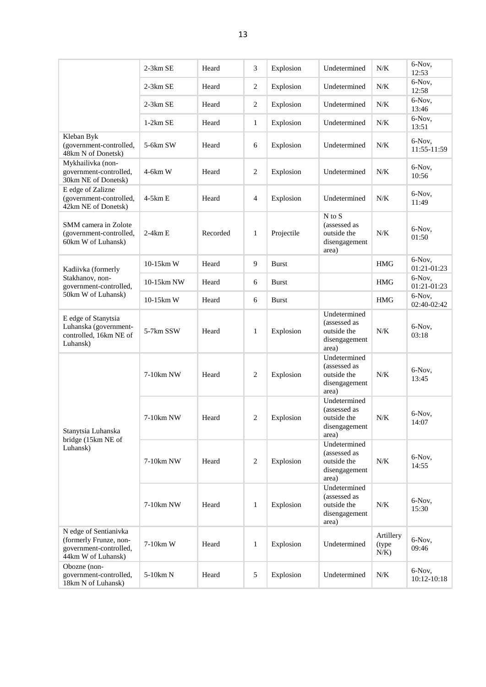|                                                                                                 | $2-3km$ SE | Heard    | 3              | Explosion    | Undetermined                                                          | N/K                            | 6-Nov,<br>12:53       |
|-------------------------------------------------------------------------------------------------|------------|----------|----------------|--------------|-----------------------------------------------------------------------|--------------------------------|-----------------------|
|                                                                                                 | $2-3km$ SE | Heard    | $\overline{2}$ | Explosion    | Undetermined                                                          | N/K                            | 6-Nov,<br>12:58       |
|                                                                                                 | $2-3km$ SE | Heard    | $\sqrt{2}$     | Explosion    | Undetermined                                                          | N/K                            | 6-Nov,<br>13:46       |
|                                                                                                 | $1-2km$ SE | Heard    | $\mathbf{1}$   | Explosion    | Undetermined                                                          | N/K                            | 6-Nov,<br>13:51       |
| Kleban Byk<br>(government-controlled,<br>48km N of Donetsk)                                     | 5-6km SW   | Heard    | 6              | Explosion    | Undetermined                                                          | N/K                            | 6-Nov,<br>11:55-11:59 |
| Mykhailivka (non-<br>government-controlled,<br>30km NE of Donetsk)                              | $4-6km$ W  | Heard    | $\sqrt{2}$     | Explosion    | Undetermined                                                          | N/K                            | 6-Nov,<br>10:56       |
| E edge of Zalizne<br>(government-controlled,<br>42km NE of Donetsk)                             | 4-5km E    | Heard    | $\overline{4}$ | Explosion    | Undetermined                                                          | N/K                            | 6-Nov,<br>11:49       |
| SMM camera in Zolote<br>(government-controlled,<br>60km W of Luhansk)                           | $2-4km E$  | Recorded | $\mathbf{1}$   | Projectile   | N to S<br>(assessed as<br>outside the<br>disengagement<br>area)       | N/K                            | 6-Nov,<br>01:50       |
| Kadiivka (formerly                                                                              | 10-15km W  | Heard    | 9              | <b>Burst</b> |                                                                       | <b>HMG</b>                     | 6-Nov,<br>01:21-01:23 |
| Stakhanov, non-<br>government-controlled,                                                       | 10-15km NW | Heard    | 6              | <b>Burst</b> |                                                                       | <b>HMG</b>                     | 6-Nov.<br>01:21-01:23 |
| 50km W of Luhansk)                                                                              | 10-15km W  | Heard    | 6              | <b>Burst</b> |                                                                       | <b>HMG</b>                     | 6-Nov,<br>02:40-02:42 |
| E edge of Stanytsia<br>Luhanska (government-<br>controlled, 16km NE of<br>Luhansk)              | 5-7km SSW  | Heard    | $\mathbf{1}$   | Explosion    | Undetermined<br>(assessed as<br>outside the<br>disengagement<br>area) | N/K                            | 6-Nov,<br>03:18       |
|                                                                                                 | 7-10km NW  | Heard    | $\mathbf{2}$   | Explosion    | Undetermined<br>(assessed as<br>outside the<br>disengagement<br>area) | N/K                            | 6-Nov,<br>13:45       |
| Stanytsia Luhanska                                                                              | 7-10km NW  | Heard    | 2              | Explosion    | Undetermined<br>(assessed as<br>outside the<br>disengagement<br>area) | N/K                            | 6-Nov,<br>14:07       |
| bridge (15km NE of<br>Luhansk)                                                                  | 7-10km NW  | Heard    | $\mathbf{2}$   | Explosion    | Undetermined<br>(assessed as<br>outside the<br>disengagement<br>area) | N/K                            | 6-Nov.<br>14:55       |
|                                                                                                 | 7-10km NW  | Heard    | $\mathbf{1}$   | Explosion    | Undetermined<br>(assessed as<br>outside the<br>disengagement<br>area) | N/K                            | 6-Nov,<br>15:30       |
| N edge of Sentianivka<br>(formerly Frunze, non-<br>government-controlled,<br>44km W of Luhansk) | 7-10km W   | Heard    | $\mathbf{1}$   | Explosion    | Undetermined                                                          | Artillery<br>(type)<br>$N/K$ ) | 6-Nov,<br>09:46       |
| Obozne (non-<br>government-controlled,<br>18km N of Luhansk)                                    | 5-10km N   | Heard    | 5              | Explosion    | Undetermined                                                          | N/K                            | 6-Nov,<br>10:12-10:18 |